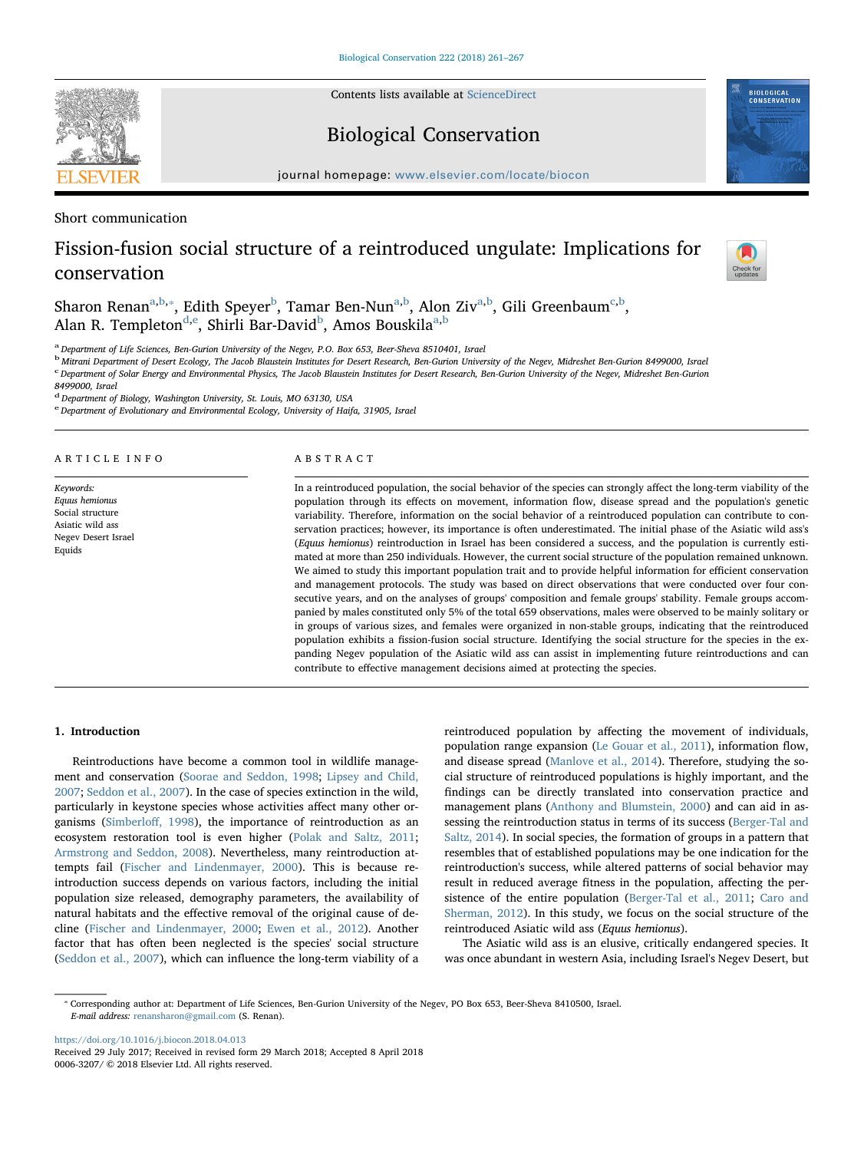Contents lists available at [ScienceDirect](http://www.sciencedirect.com/science/journal/00063207)

# Biological Conservation

journal homepage: [www.elsevier.com/locate/biocon](https://www.elsevier.com/locate/biocon)

Short communication

# Fission-fusion social structure of a reintroduced ungulate: Implications for conservation

Sh[a](#page-0-0)ron Renan $a,b,*$  $a,b,*$  $a,b,*$ , Edith Speyer $^b$  $^b$ , Tamar Ben-Nun $^{a,b}$  $^{a,b}$  $^{a,b}$ , Alon Ziv $^{a,b}$  $^{a,b}$  $^{a,b}$ , Gili Greenbaum $^{c,b}$  $^{c,b}$  $^{c,b}$ , Alan R. Templeton<sup>[d,](#page-0-4)[e](#page-0-5)</sup>, Shirli Bar-David<sup>[b](#page-0-1)</sup>, Amos Bouskila<sup>[a,](#page-0-0)b</sup>

<span id="page-0-0"></span><sup>a</sup> Department of Life Sciences, Ben-Gurion University of the Negev, P.O. Box 653, Beer-Sheva 8510401, Israel

<span id="page-0-1"></span><sup>b</sup> Mitrani Department of Desert Ecology, The Jacob Blaustein Institutes for Desert Research, Ben-Gurion University of the Negev, Midreshet Ben-Gurion 8499000, Israel

<span id="page-0-3"></span>c Department of Solar Energy and Environmental Physics, The Jacob Blaustein Institutes for Desert Research, Ben-Gurion University of the Negev, Midreshet Ben-Gurion

8499000, Israel

<span id="page-0-4"></span><sup>d</sup> Department of Biology, Washington University, St. Louis, MO 63130, USA

<span id="page-0-5"></span><sup>e</sup> Department of Evolutionary and Environmental Ecology, University of Haifa, 31905, Israel

#### ARTICLE INFO

Keywords: Equus hemionus Social structure Asiatic wild ass Negev Desert Israel Equids

## ABSTRACT

In a reintroduced population, the social behavior of the species can strongly affect the long-term viability of the population through its effects on movement, information flow, disease spread and the population's genetic variability. Therefore, information on the social behavior of a reintroduced population can contribute to conservation practices; however, its importance is often underestimated. The initial phase of the Asiatic wild ass's (Equus hemionus) reintroduction in Israel has been considered a success, and the population is currently estimated at more than 250 individuals. However, the current social structure of the population remained unknown. We aimed to study this important population trait and to provide helpful information for efficient conservation and management protocols. The study was based on direct observations that were conducted over four consecutive years, and on the analyses of groups' composition and female groups' stability. Female groups accompanied by males constituted only 5% of the total 659 observations, males were observed to be mainly solitary or in groups of various sizes, and females were organized in non-stable groups, indicating that the reintroduced population exhibits a fission-fusion social structure. Identifying the social structure for the species in the expanding Negev population of the Asiatic wild ass can assist in implementing future reintroductions and can contribute to effective management decisions aimed at protecting the species.

#### 1. Introduction

Reintroductions have become a common tool in wildlife management and conservation ([Soorae and Seddon, 1998;](#page-6-0) [Lipsey and Child,](#page-5-0) [2007;](#page-5-0) [Seddon et al., 2007\)](#page-6-1). In the case of species extinction in the wild, particularly in keystone species whose activities affect many other organisms [\(Simberlo](#page-6-2)ff, 1998), the importance of reintroduction as an ecosystem restoration tool is even higher [\(Polak and Saltz, 2011](#page-5-1); [Armstrong and Seddon, 2008\)](#page-5-2). Nevertheless, many reintroduction attempts fail ([Fischer and Lindenmayer, 2000\)](#page-5-3). This is because reintroduction success depends on various factors, including the initial population size released, demography parameters, the availability of natural habitats and the effective removal of the original cause of decline ([Fischer and Lindenmayer, 2000](#page-5-3); [Ewen et al., 2012\)](#page-5-4). Another factor that has often been neglected is the species' social structure ([Seddon et al., 2007\)](#page-6-1), which can influence the long-term viability of a reintroduced population by affecting the movement of individuals, population range expansion [\(Le Gouar et al., 2011](#page-5-5)), information flow, and disease spread [\(Manlove et al., 2014](#page-5-6)). Therefore, studying the social structure of reintroduced populations is highly important, and the findings can be directly translated into conservation practice and management plans [\(Anthony and Blumstein, 2000\)](#page-5-7) and can aid in assessing the reintroduction status in terms of its success [\(Berger-Tal and](#page-5-8) [Saltz, 2014\)](#page-5-8). In social species, the formation of groups in a pattern that resembles that of established populations may be one indication for the reintroduction's success, while altered patterns of social behavior may result in reduced average fitness in the population, affecting the persistence of the entire population ([Berger-Tal et al., 2011;](#page-5-9) [Caro and](#page-5-10) [Sherman, 2012\)](#page-5-10). In this study, we focus on the social structure of the reintroduced Asiatic wild ass (Equus hemionus).

The Asiatic wild ass is an elusive, critically endangered species. It was once abundant in western Asia, including Israel's Negev Desert, but

<https://doi.org/10.1016/j.biocon.2018.04.013> Received 29 July 2017; Received in revised form 29 March 2018; Accepted 8 April 2018 0006-3207/ © 2018 Elsevier Ltd. All rights reserved.







<span id="page-0-2"></span><sup>⁎</sup> Corresponding author at: Department of Life Sciences, Ben-Gurion University of the Negev, PO Box 653, Beer-Sheva 8410500, Israel. E-mail address: [renansharon@gmail.com](mailto:renansharon@gmail.com) (S. Renan).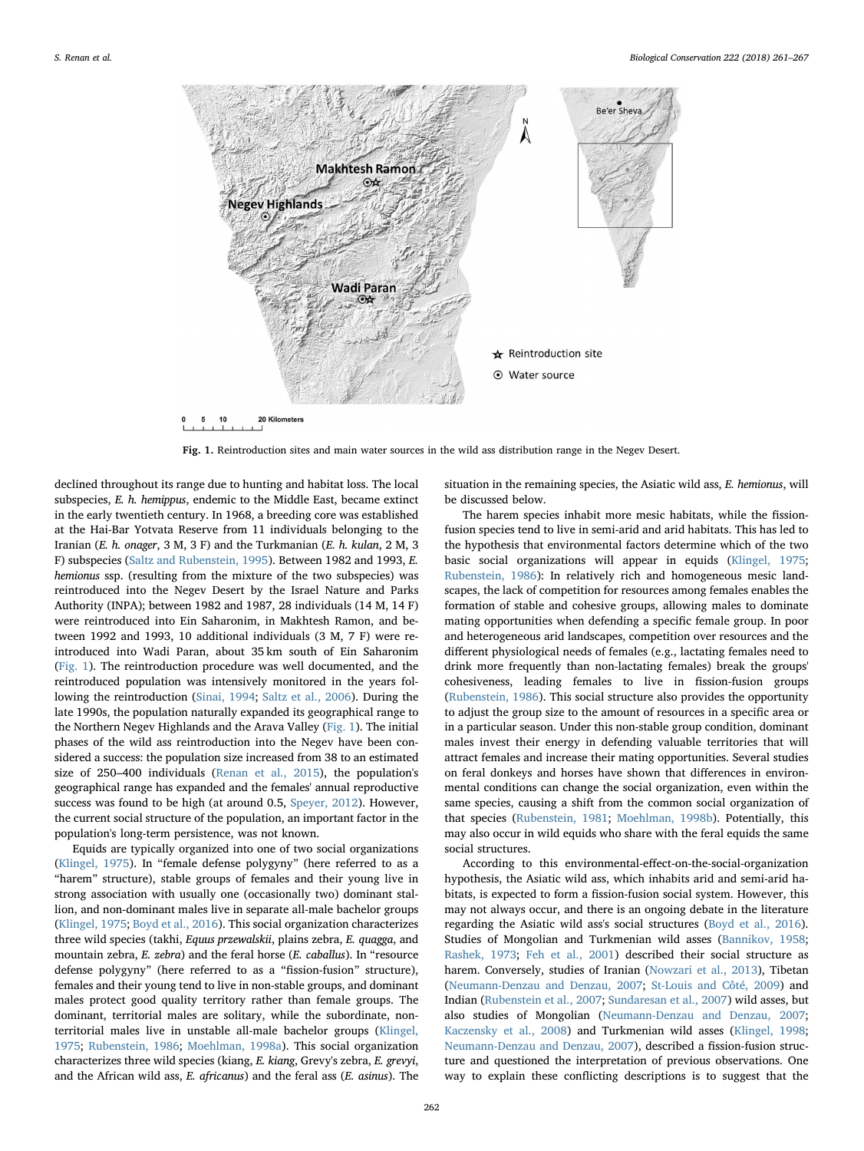<span id="page-1-0"></span>

Fig. 1. Reintroduction sites and main water sources in the wild ass distribution range in the Negev Desert.

declined throughout its range due to hunting and habitat loss. The local subspecies, E. h. hemippus, endemic to the Middle East, became extinct in the early twentieth century. In 1968, a breeding core was established at the Hai-Bar Yotvata Reserve from 11 individuals belonging to the Iranian (E. h. onager, 3 M, 3 F) and the Turkmanian (E. h. kulan, 2 M, 3 F) subspecies [\(Saltz and Rubenstein, 1995\)](#page-6-3). Between 1982 and 1993, E. hemionus ssp. (resulting from the mixture of the two subspecies) was reintroduced into the Negev Desert by the Israel Nature and Parks Authority (INPA); between 1982 and 1987, 28 individuals (14 M, 14 F) were reintroduced into Ein Saharonim, in Makhtesh Ramon, and between 1992 and 1993, 10 additional individuals (3 M, 7 F) were reintroduced into Wadi Paran, about 35 km south of Ein Saharonim ([Fig. 1](#page-1-0)). The reintroduction procedure was well documented, and the reintroduced population was intensively monitored in the years following the reintroduction [\(Sinai, 1994;](#page-6-4) [Saltz et al., 2006](#page-6-5)). During the late 1990s, the population naturally expanded its geographical range to the Northern Negev Highlands and the Arava Valley [\(Fig. 1](#page-1-0)). The initial phases of the wild ass reintroduction into the Negev have been considered a success: the population size increased from 38 to an estimated size of 250–400 individuals [\(Renan et al., 2015](#page-5-11)), the population's geographical range has expanded and the females' annual reproductive success was found to be high (at around 0.5, [Speyer, 2012\)](#page-6-6). However, the current social structure of the population, an important factor in the population's long-term persistence, was not known.

Equids are typically organized into one of two social organizations ([Klingel, 1975](#page-5-12)). In "female defense polygyny" (here referred to as a "harem" structure), stable groups of females and their young live in strong association with usually one (occasionally two) dominant stallion, and non-dominant males live in separate all-male bachelor groups ([Klingel, 1975](#page-5-12); [Boyd et al., 2016\)](#page-5-13). This social organization characterizes three wild species (takhi, Equus przewalskii, plains zebra, E. quagga, and mountain zebra, E. zebra) and the feral horse (E. caballus). In "resource defense polygyny" (here referred to as a "fission-fusion" structure), females and their young tend to live in non-stable groups, and dominant males protect good quality territory rather than female groups. The dominant, territorial males are solitary, while the subordinate, nonterritorial males live in unstable all-male bachelor groups ([Klingel,](#page-5-12) [1975;](#page-5-12) [Rubenstein, 1986;](#page-5-14) [Moehlman, 1998a](#page-5-15)). This social organization characterizes three wild species (kiang, E. kiang, Grevy's zebra, E. grevyi, and the African wild ass, E. africanus) and the feral ass (E. asinus). The situation in the remaining species, the Asiatic wild ass, E. hemionus, will be discussed below.

The harem species inhabit more mesic habitats, while the fissionfusion species tend to live in semi-arid and arid habitats. This has led to the hypothesis that environmental factors determine which of the two basic social organizations will appear in equids [\(Klingel, 1975](#page-5-12); [Rubenstein, 1986](#page-5-14)): In relatively rich and homogeneous mesic landscapes, the lack of competition for resources among females enables the formation of stable and cohesive groups, allowing males to dominate mating opportunities when defending a specific female group. In poor and heterogeneous arid landscapes, competition over resources and the different physiological needs of females (e.g., lactating females need to drink more frequently than non-lactating females) break the groups' cohesiveness, leading females to live in fission-fusion groups ([Rubenstein, 1986\)](#page-5-14). This social structure also provides the opportunity to adjust the group size to the amount of resources in a specific area or in a particular season. Under this non-stable group condition, dominant males invest their energy in defending valuable territories that will attract females and increase their mating opportunities. Several studies on feral donkeys and horses have shown that differences in environmental conditions can change the social organization, even within the same species, causing a shift from the common social organization of that species [\(Rubenstein, 1981](#page-5-16); [Moehlman, 1998b](#page-5-17)). Potentially, this may also occur in wild equids who share with the feral equids the same social structures.

According to this environmental-effect-on-the-social-organization hypothesis, the Asiatic wild ass, which inhabits arid and semi-arid habitats, is expected to form a fission-fusion social system. However, this may not always occur, and there is an ongoing debate in the literature regarding the Asiatic wild ass's social structures ([Boyd et al., 2016](#page-5-13)). Studies of Mongolian and Turkmenian wild asses ([Bannikov, 1958](#page-5-18); [Rashek, 1973](#page-5-19); [Feh et al., 2001\)](#page-5-20) described their social structure as harem. Conversely, studies of Iranian ([Nowzari et al., 2013](#page-5-21)), Tibetan ([Neumann-Denzau and Denzau, 2007](#page-5-22); [St-Louis and Côté, 2009\)](#page-6-7) and Indian [\(Rubenstein et al., 2007](#page-5-23); [Sundaresan et al., 2007\)](#page-6-8) wild asses, but also studies of Mongolian ([Neumann-Denzau and Denzau, 2007](#page-5-22); [Kaczensky et al., 2008\)](#page-5-24) and Turkmenian wild asses [\(Klingel, 1998](#page-5-25); [Neumann-Denzau and Denzau, 2007](#page-5-22)), described a fission-fusion structure and questioned the interpretation of previous observations. One way to explain these conflicting descriptions is to suggest that the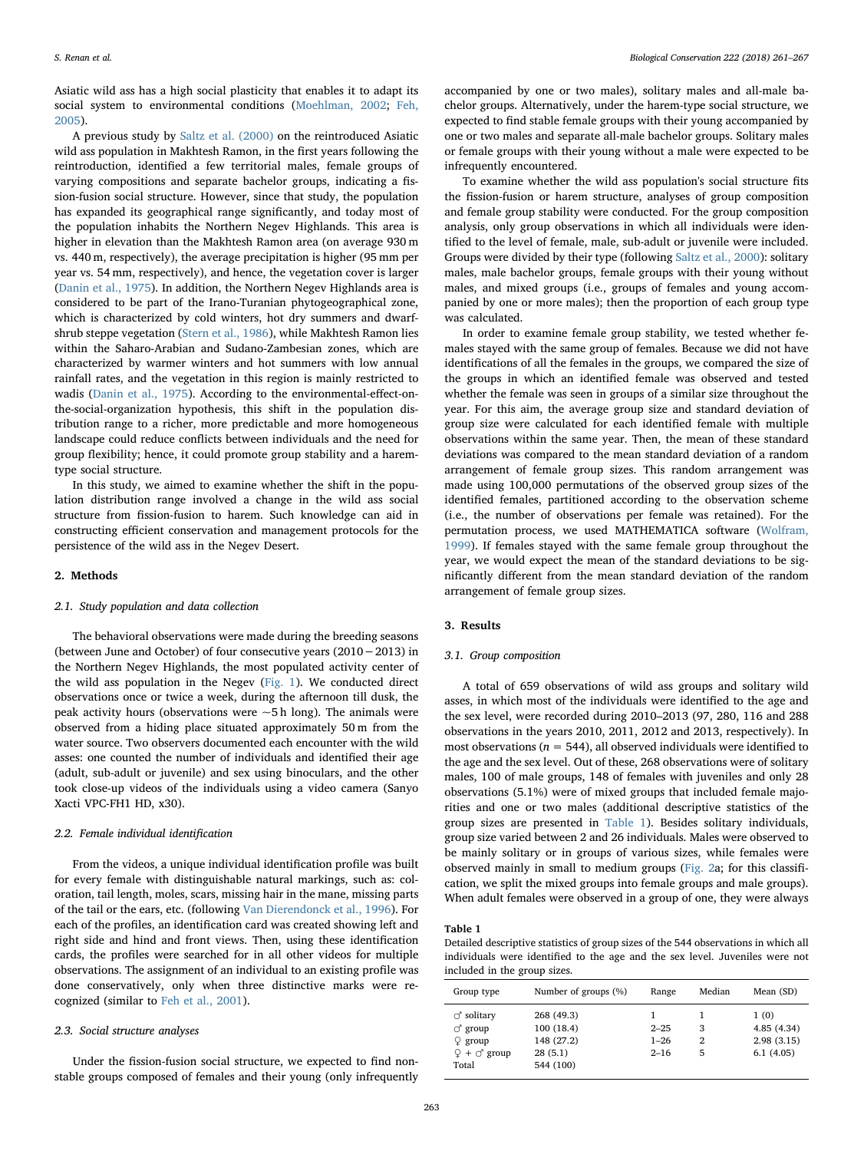Asiatic wild ass has a high social plasticity that enables it to adapt its social system to environmental conditions ([Moehlman, 2002;](#page-5-26) [Feh,](#page-5-27) [2005\)](#page-5-27).

A previous study by [Saltz et al. \(2000\)](#page-6-9) on the reintroduced Asiatic wild ass population in Makhtesh Ramon, in the first years following the reintroduction, identified a few territorial males, female groups of varying compositions and separate bachelor groups, indicating a fission-fusion social structure. However, since that study, the population has expanded its geographical range significantly, and today most of the population inhabits the Northern Negev Highlands. This area is higher in elevation than the Makhtesh Ramon area (on average 930 m vs. 440 m, respectively), the average precipitation is higher (95 mm per year vs. 54 mm, respectively), and hence, the vegetation cover is larger ([Danin et al., 1975](#page-5-28)). In addition, the Northern Negev Highlands area is considered to be part of the Irano-Turanian phytogeographical zone, which is characterized by cold winters, hot dry summers and dwarfshrub steppe vegetation ([Stern et al., 1986](#page-6-10)), while Makhtesh Ramon lies within the Saharo-Arabian and Sudano-Zambesian zones, which are characterized by warmer winters and hot summers with low annual rainfall rates, and the vegetation in this region is mainly restricted to wadis [\(Danin et al., 1975\)](#page-5-28). According to the environmental-effect-onthe-social-organization hypothesis, this shift in the population distribution range to a richer, more predictable and more homogeneous landscape could reduce conflicts between individuals and the need for group flexibility; hence, it could promote group stability and a haremtype social structure.

In this study, we aimed to examine whether the shift in the population distribution range involved a change in the wild ass social structure from fission-fusion to harem. Such knowledge can aid in constructing efficient conservation and management protocols for the persistence of the wild ass in the Negev Desert.

# 2. Methods

# 2.1. Study population and data collection

The behavioral observations were made during the breeding seasons (between June and October) of four consecutive years (2010−2013) in the Northern Negev Highlands, the most populated activity center of the wild ass population in the Negev ([Fig. 1\)](#page-1-0). We conducted direct observations once or twice a week, during the afternoon till dusk, the peak activity hours (observations were  $\sim$  5 h long). The animals were observed from a hiding place situated approximately 50 m from the water source. Two observers documented each encounter with the wild asses: one counted the number of individuals and identified their age (adult, sub-adult or juvenile) and sex using binoculars, and the other took close-up videos of the individuals using a video camera (Sanyo Xacti VPC-FH1 HD, x30).

# 2.2. Female individual identification

From the videos, a unique individual identification profile was built for every female with distinguishable natural markings, such as: coloration, tail length, moles, scars, missing hair in the mane, missing parts of the tail or the ears, etc. (following [Van Dierendonck et al., 1996\)](#page-6-11). For each of the profiles, an identification card was created showing left and right side and hind and front views. Then, using these identification cards, the profiles were searched for in all other videos for multiple observations. The assignment of an individual to an existing profile was done conservatively, only when three distinctive marks were recognized (similar to [Feh et al., 2001](#page-5-20)).

#### 2.3. Social structure analyses

Under the fission-fusion social structure, we expected to find nonstable groups composed of females and their young (only infrequently

accompanied by one or two males), solitary males and all-male bachelor groups. Alternatively, under the harem-type social structure, we expected to find stable female groups with their young accompanied by one or two males and separate all-male bachelor groups. Solitary males or female groups with their young without a male were expected to be infrequently encountered.

To examine whether the wild ass population's social structure fits the fission-fusion or harem structure, analyses of group composition and female group stability were conducted. For the group composition analysis, only group observations in which all individuals were identified to the level of female, male, sub-adult or juvenile were included. Groups were divided by their type (following [Saltz et al., 2000](#page-6-9)): solitary males, male bachelor groups, female groups with their young without males, and mixed groups (i.e., groups of females and young accompanied by one or more males); then the proportion of each group type was calculated.

In order to examine female group stability, we tested whether females stayed with the same group of females. Because we did not have identifications of all the females in the groups, we compared the size of the groups in which an identified female was observed and tested whether the female was seen in groups of a similar size throughout the year. For this aim, the average group size and standard deviation of group size were calculated for each identified female with multiple observations within the same year. Then, the mean of these standard deviations was compared to the mean standard deviation of a random arrangement of female group sizes. This random arrangement was made using 100,000 permutations of the observed group sizes of the identified females, partitioned according to the observation scheme (i.e., the number of observations per female was retained). For the permutation process, we used MATHEMATICA software ([Wolfram,](#page-6-12) [1999\)](#page-6-12). If females stayed with the same female group throughout the year, we would expect the mean of the standard deviations to be significantly different from the mean standard deviation of the random arrangement of female group sizes.

## 3. Results

# 3.1. Group composition

A total of 659 observations of wild ass groups and solitary wild asses, in which most of the individuals were identified to the age and the sex level, were recorded during 2010–2013 (97, 280, 116 and 288 observations in the years 2010, 2011, 2012 and 2013, respectively). In most observations ( $n = 544$ ), all observed individuals were identified to the age and the sex level. Out of these, 268 observations were of solitary males, 100 of male groups, 148 of females with juveniles and only 28 observations (5.1%) were of mixed groups that included female majorities and one or two males (additional descriptive statistics of the group sizes are presented in [Table 1\)](#page-2-0). Besides solitary individuals, group size varied between 2 and 26 individuals. Males were observed to be mainly solitary or in groups of various sizes, while females were observed mainly in small to medium groups [\(Fig. 2a](#page-3-0); for this classification, we split the mixed groups into female groups and male groups). When adult females were observed in a group of one, they were always

# <span id="page-2-0"></span>Table 1

Detailed descriptive statistics of group sizes of the 544 observations in which all individuals were identified to the age and the sex level. Juveniles were not included in the group sizes.

| Group type                                                                          | Number of groups (%)                                           | Range                            | Median      | Mean (SD)                                     |
|-------------------------------------------------------------------------------------|----------------------------------------------------------------|----------------------------------|-------------|-----------------------------------------------|
| $\circlearrowleft$ solitary<br>$\circ$ group<br>$Q$ group<br>$9 + 6$ group<br>Total | 268 (49.3)<br>100 (18.4)<br>148 (27.2)<br>28(5.1)<br>544 (100) | $2 - 25$<br>$1 - 26$<br>$2 - 16$ | 3<br>2<br>5 | 1(0)<br>4.85(4.34)<br>2.98(3.15)<br>6.1(4.05) |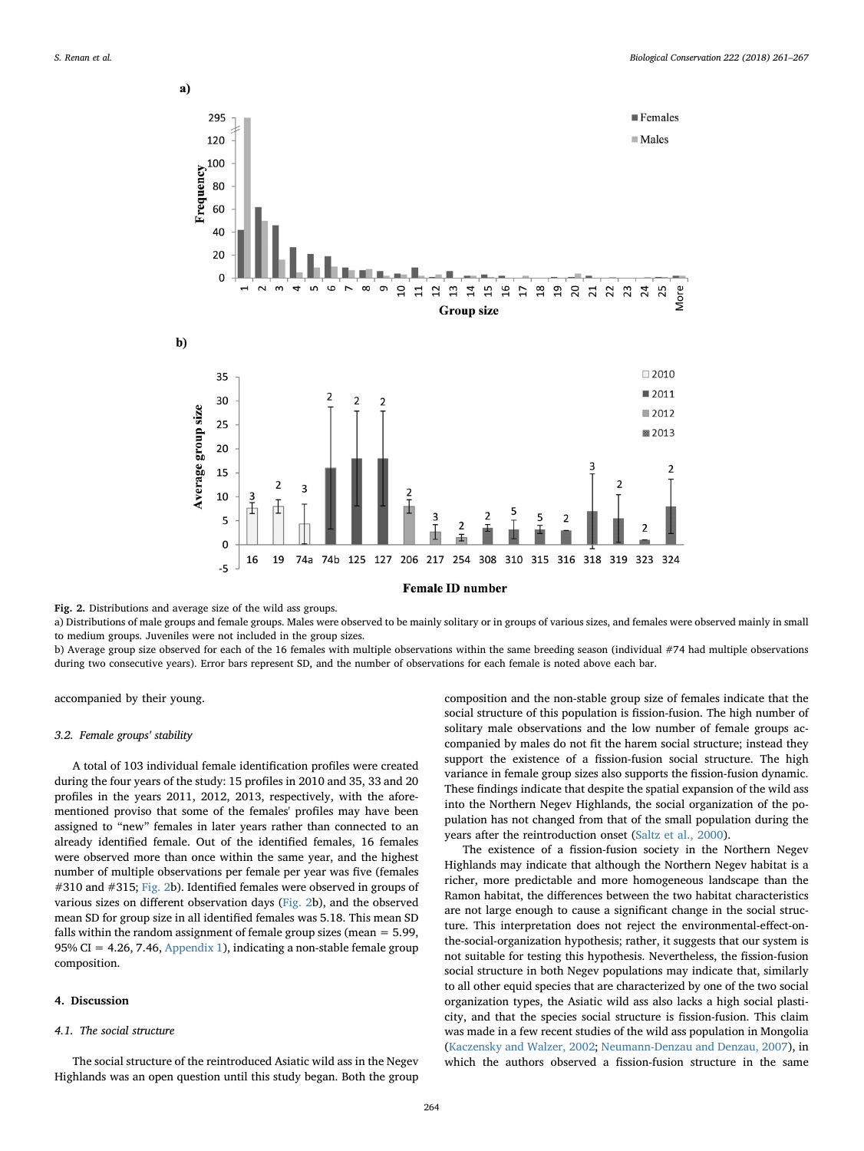<span id="page-3-0"></span>

Fig. 2. Distributions and average size of the wild ass groups.

a) Distributions of male groups and female groups. Males were observed to be mainly solitary or in groups of various sizes, and females were observed mainly in small to medium groups. Juveniles were not included in the group sizes.

b) Average group size observed for each of the 16 females with multiple observations within the same breeding season (individual #74 had multiple observations during two consecutive years). Error bars represent SD, and the number of observations for each female is noted above each bar.

accompanied by their young.

#### 3.2. Female groups' stability

A total of 103 individual female identification profiles were created during the four years of the study: 15 profiles in 2010 and 35, 33 and 20 profiles in the years 2011, 2012, 2013, respectively, with the aforementioned proviso that some of the females' profiles may have been assigned to "new" females in later years rather than connected to an already identified female. Out of the identified females, 16 females were observed more than once within the same year, and the highest number of multiple observations per female per year was five (females #310 and #315; [Fig. 2](#page-3-0)b). Identified females were observed in groups of various sizes on different observation days ([Fig. 2](#page-3-0)b), and the observed mean SD for group size in all identified females was 5.18. This mean SD falls within the random assignment of female group sizes (mean = 5.99, 95% CI = 4.26, 7.46, [Appendix 1\)](#page-5-29), indicating a non-stable female group composition.

#### 4. Discussion

#### 4.1. The social structure

The social structure of the reintroduced Asiatic wild ass in the Negev Highlands was an open question until this study began. Both the group composition and the non-stable group size of females indicate that the social structure of this population is fission-fusion. The high number of solitary male observations and the low number of female groups accompanied by males do not fit the harem social structure; instead they support the existence of a fission-fusion social structure. The high variance in female group sizes also supports the fission-fusion dynamic. These findings indicate that despite the spatial expansion of the wild ass into the Northern Negev Highlands, the social organization of the population has not changed from that of the small population during the years after the reintroduction onset [\(Saltz et al., 2000\)](#page-6-9).

The existence of a fission-fusion society in the Northern Negev Highlands may indicate that although the Northern Negev habitat is a richer, more predictable and more homogeneous landscape than the Ramon habitat, the differences between the two habitat characteristics are not large enough to cause a significant change in the social structure. This interpretation does not reject the environmental-effect-onthe-social-organization hypothesis; rather, it suggests that our system is not suitable for testing this hypothesis. Nevertheless, the fission-fusion social structure in both Negev populations may indicate that, similarly to all other equid species that are characterized by one of the two social organization types, the Asiatic wild ass also lacks a high social plasticity, and that the species social structure is fission-fusion. This claim was made in a few recent studies of the wild ass population in Mongolia ([Kaczensky and Walzer, 2002](#page-5-30); Neumann-Denzau [and Denzau, 2007](#page-5-22)), in which the authors observed a fission-fusion structure in the same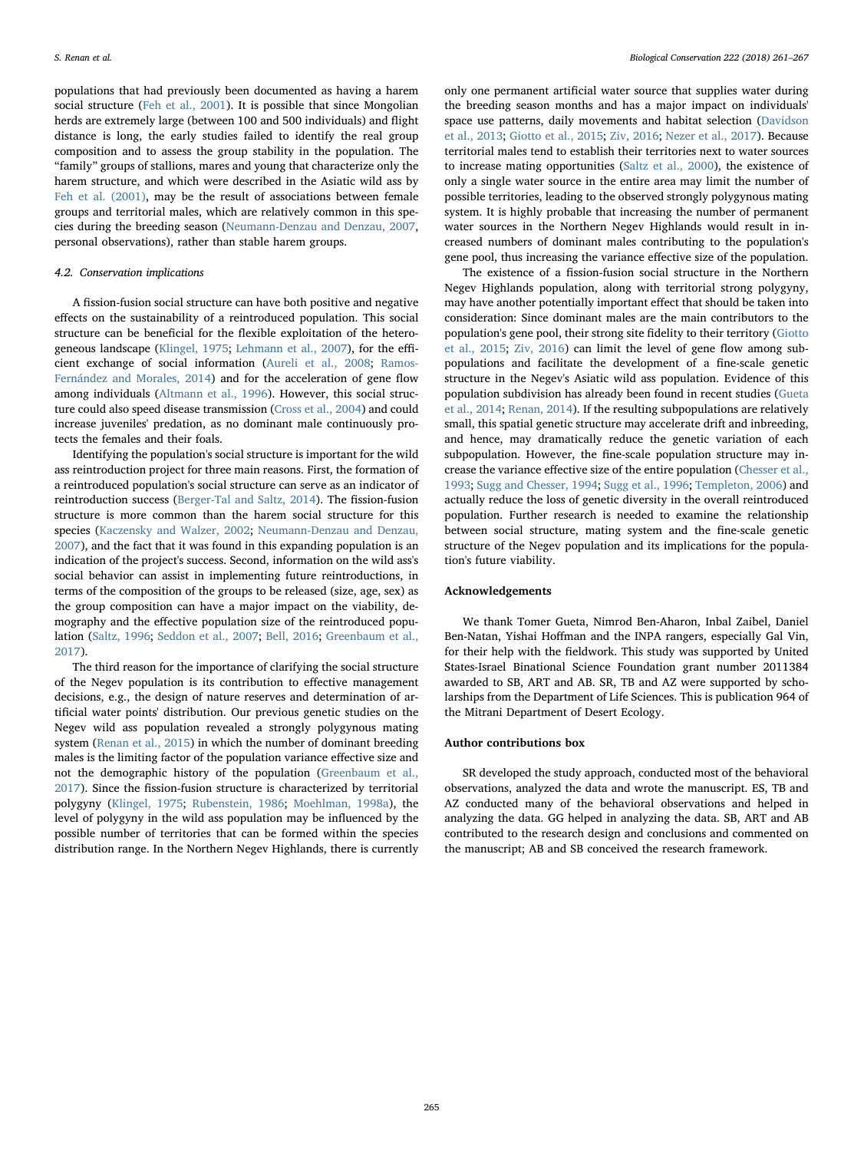populations that had previously been documented as having a harem social structure [\(Feh et al., 2001](#page-5-20)). It is possible that since Mongolian herds are extremely large (between 100 and 500 individuals) and flight distance is long, the early studies failed to identify the real group composition and to assess the group stability in the population. The "family" groups of stallions, mares and young that characterize only the harem structure, and which were described in the Asiatic wild ass by [Feh et al. \(2001\),](#page-5-20) may be the result of associations between female groups and territorial males, which are relatively common in this species during the breeding season ([Neumann-Denzau and Denzau, 2007](#page-5-22), personal observations), rather than stable harem groups.

# 4.2. Conservation implications

A fission-fusion social structure can have both positive and negative effects on the sustainability of a reintroduced population. This social structure can be beneficial for the flexible exploitation of the heterogeneous landscape ([Klingel, 1975;](#page-5-12) [Lehmann et al., 2007](#page-5-31)), for the efficient exchange of social information ([Aureli et al., 2008;](#page-5-32) [Ramos-](#page-5-33)[Fernández and Morales, 2014\)](#page-5-33) and for the acceleration of gene flow among individuals ([Altmann et al., 1996\)](#page-5-34). However, this social structure could also speed disease transmission [\(Cross et al., 2004](#page-5-35)) and could increase juveniles' predation, as no dominant male continuously protects the females and their foals.

Identifying the population's social structure is important for the wild ass reintroduction project for three main reasons. First, the formation of a reintroduced population's social structure can serve as an indicator of reintroduction success [\(Berger-Tal and Saltz, 2014\)](#page-5-8). The fission-fusion structure is more common than the harem social structure for this species ([Kaczensky and Walzer, 2002;](#page-5-30) [Neumann-Denzau and Denzau,](#page-5-22) [2007\)](#page-5-22), and the fact that it was found in this expanding population is an indication of the project's success. Second, information on the wild ass's social behavior can assist in implementing future reintroductions, in terms of the composition of the groups to be released (size, age, sex) as the group composition can have a major impact on the viability, demography and the effective population size of the reintroduced population ([Saltz, 1996;](#page-5-36) [Seddon et al., 2007](#page-6-1); [Bell, 2016;](#page-5-37) [Greenbaum et al.,](#page-5-38) [2017\)](#page-5-38).

The third reason for the importance of clarifying the social structure of the Negev population is its contribution to effective management decisions, e.g., the design of nature reserves and determination of artificial water points' distribution. Our previous genetic studies on the Negev wild ass population revealed a strongly polygynous mating system ([Renan et al., 2015](#page-5-11)) in which the number of dominant breeding males is the limiting factor of the population variance effective size and not the demographic history of the population [\(Greenbaum et al.,](#page-5-38) [2017\)](#page-5-38). Since the fission-fusion structure is characterized by territorial polygyny [\(Klingel, 1975](#page-5-12); [Rubenstein, 1986](#page-5-14); [Moehlman, 1998a](#page-5-15)), the level of polygyny in the wild ass population may be influenced by the possible number of territories that can be formed within the species distribution range. In the Northern Negev Highlands, there is currently

only one permanent artificial water source that supplies water during the breeding season months and has a major impact on individuals' space use patterns, daily movements and habitat selection ([Davidson](#page-5-39) [et al., 2013;](#page-5-39) [Giotto et al., 2015](#page-5-40); [Ziv, 2016](#page-6-13); [Nezer et al., 2017\)](#page-5-41). Because territorial males tend to establish their territories next to water sources to increase mating opportunities [\(Saltz et al., 2000](#page-6-9)), the existence of only a single water source in the entire area may limit the number of possible territories, leading to the observed strongly polygynous mating system. It is highly probable that increasing the number of permanent water sources in the Northern Negev Highlands would result in increased numbers of dominant males contributing to the population's gene pool, thus increasing the variance effective size of the population.

The existence of a fission-fusion social structure in the Northern Negev Highlands population, along with territorial strong polygyny, may have another potentially important effect that should be taken into consideration: Since dominant males are the main contributors to the population's gene pool, their strong site fidelity to their territory ([Giotto](#page-5-40) [et al., 2015;](#page-5-40) [Ziv, 2016](#page-6-13)) can limit the level of gene flow among subpopulations and facilitate the development of a fine-scale genetic structure in the Negev's Asiatic wild ass population. Evidence of this population subdivision has already been found in recent studies ([Gueta](#page-5-42) [et al., 2014](#page-5-42); [Renan, 2014\)](#page-5-43). If the resulting subpopulations are relatively small, this spatial genetic structure may accelerate drift and inbreeding, and hence, may dramatically reduce the genetic variation of each subpopulation. However, the fine-scale population structure may increase the variance effective size of the entire population ([Chesser et al.,](#page-5-44) [1993;](#page-5-44) [Sugg and Chesser, 1994](#page-6-14); [Sugg et al., 1996](#page-6-15); [Templeton, 2006\)](#page-6-16) and actually reduce the loss of genetic diversity in the overall reintroduced population. Further research is needed to examine the relationship between social structure, mating system and the fine-scale genetic structure of the Negev population and its implications for the population's future viability.

# Acknowledgements

We thank Tomer Gueta, Nimrod Ben-Aharon, Inbal Zaibel, Daniel Ben-Natan, Yishai Hoffman and the INPA rangers, especially Gal Vin, for their help with the fieldwork. This study was supported by United States-Israel Binational Science Foundation grant number 2011384 awarded to SB, ART and AB. SR, TB and AZ were supported by scholarships from the Department of Life Sciences. This is publication 964 of the Mitrani Department of Desert Ecology.

# Author contributions box

SR developed the study approach, conducted most of the behavioral observations, analyzed the data and wrote the manuscript. ES, TB and AZ conducted many of the behavioral observations and helped in analyzing the data. GG helped in analyzing the data. SB, ART and AB contributed to the research design and conclusions and commented on the manuscript; AB and SB conceived the research framework.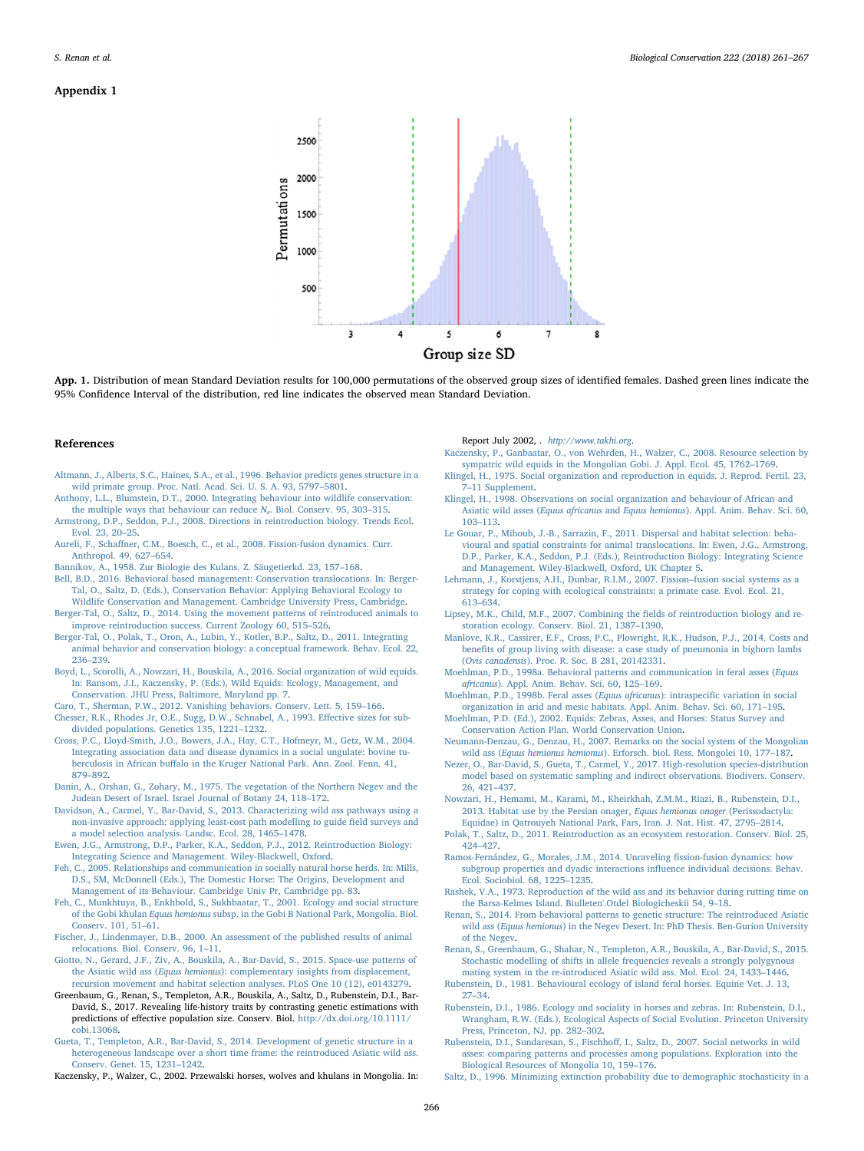#### <span id="page-5-29"></span>Appendix 1



App. 1. Distribution of mean Standard Deviation results for 100,000 permutations of the observed group sizes of identified females. Dashed green lines indicate the 95% Confidence Interval of the distribution, red line indicates the observed mean Standard Deviation.

#### References

<span id="page-5-34"></span>[Altmann, J., Alberts, S.C., Haines, S.A., et al., 1996. Behavior predicts genes structure in a](http://refhub.elsevier.com/S0006-3207(17)31318-6/rf0005) [wild primate group. Proc. Natl. Acad. Sci. U. S. A. 93, 5797](http://refhub.elsevier.com/S0006-3207(17)31318-6/rf0005)–5801.

<span id="page-5-7"></span>[Anthony, L.L., Blumstein, D.T., 2000. Integrating behaviour into wildlife conservation:](http://refhub.elsevier.com/S0006-3207(17)31318-6/rf0010) [the multiple ways that behaviour can reduce](http://refhub.elsevier.com/S0006-3207(17)31318-6/rf0010)  $N_e$ . Biol. Conserv. 95, 303–315.

- <span id="page-5-2"></span>[Armstrong, D.P., Seddon, P.J., 2008. Directions in reintroduction biology. Trends Ecol.](http://refhub.elsevier.com/S0006-3207(17)31318-6/rf0015) [Evol. 23, 20](http://refhub.elsevier.com/S0006-3207(17)31318-6/rf0015)–25.
- <span id="page-5-32"></span>Aureli, F., Schaff[ner, C.M., Boesch, C., et al., 2008. Fission-fusion dynamics. Curr.](http://refhub.elsevier.com/S0006-3207(17)31318-6/rf0020) [Anthropol. 49, 627](http://refhub.elsevier.com/S0006-3207(17)31318-6/rf0020)–654.
- <span id="page-5-18"></span>[Bannikov, A., 1958. Zur Biologie des Kulans. Z. Säugetierkd. 23, 157](http://refhub.elsevier.com/S0006-3207(17)31318-6/rf0025)–168.

<span id="page-5-37"></span>[Bell, B.D., 2016. Behavioral based management: Conservation translocations. In: Berger-](http://refhub.elsevier.com/S0006-3207(17)31318-6/rf0030)[Tal, O., Saltz, D. \(Eds.\), Conservation Behavior: Applying Behavioral Ecology to](http://refhub.elsevier.com/S0006-3207(17)31318-6/rf0030) [Wildlife Conservation and Management. Cambridge University Press, Cambridge](http://refhub.elsevier.com/S0006-3207(17)31318-6/rf0030).

<span id="page-5-8"></span>[Berger-Tal, O., Saltz, D., 2014. Using the movement patterns of reintroduced animals to](http://refhub.elsevier.com/S0006-3207(17)31318-6/rf0035) [improve reintroduction success. Current Zoology 60, 515](http://refhub.elsevier.com/S0006-3207(17)31318-6/rf0035)–526.

<span id="page-5-9"></span>[Berger-Tal, O., Polak, T., Oron, A., Lubin, Y., Kotler, B.P., Saltz, D., 2011. Integrating](http://refhub.elsevier.com/S0006-3207(17)31318-6/rf0040) [animal behavior and conservation biology: a conceptual framework. Behav. Ecol. 22,](http://refhub.elsevier.com/S0006-3207(17)31318-6/rf0040) 236–[239](http://refhub.elsevier.com/S0006-3207(17)31318-6/rf0040).

<span id="page-5-13"></span>[Boyd, L., Scorolli, A., Nowzari, H., Bouskila, A., 2016. Social organization of wild equids.](http://refhub.elsevier.com/S0006-3207(17)31318-6/rf0045) [In: Ransom, J.I., Kaczensky, P. \(Eds.\), Wild Equids: Ecology, Management, and](http://refhub.elsevier.com/S0006-3207(17)31318-6/rf0045) [Conservation. JHU Press, Baltimore, Maryland pp. 7.](http://refhub.elsevier.com/S0006-3207(17)31318-6/rf0045)

<span id="page-5-44"></span><span id="page-5-10"></span>[Caro, T., Sherman, P.W., 2012. Vanishing behaviors. Conserv. Lett. 5, 159](http://refhub.elsevier.com/S0006-3207(17)31318-6/rf0050)–166. [Chesser, R.K., Rhodes Jr, O.E., Sugg, D.W., Schnabel, A., 1993. E](http://refhub.elsevier.com/S0006-3207(17)31318-6/rf0055)ffective sizes for sub[divided populations. Genetics 135, 1221](http://refhub.elsevier.com/S0006-3207(17)31318-6/rf0055)–1232.

<span id="page-5-35"></span>[Cross, P.C., Lloyd-Smith, J.O., Bowers, J.A., Hay, C.T., Hofmeyr, M., Getz, W.M., 2004.](http://refhub.elsevier.com/S0006-3207(17)31318-6/rf0060) [Integrating association data and disease dynamics in a social ungulate: bovine tu](http://refhub.elsevier.com/S0006-3207(17)31318-6/rf0060)berculosis in African buff[alo in the Kruger National Park. Ann. Zool. Fenn. 41,](http://refhub.elsevier.com/S0006-3207(17)31318-6/rf0060) 879–[892](http://refhub.elsevier.com/S0006-3207(17)31318-6/rf0060).

<span id="page-5-28"></span>[Danin, A., Orshan, G., Zohary, M., 1975. The vegetation of the Northern Negev and the](http://refhub.elsevier.com/S0006-3207(17)31318-6/rf0065) [Judean Desert of Israel. Israel Journal of Botany 24, 118](http://refhub.elsevier.com/S0006-3207(17)31318-6/rf0065)–172.

<span id="page-5-39"></span>[Davidson, A., Carmel, Y., Bar-David, S., 2013. Characterizing wild ass pathways using a](http://refhub.elsevier.com/S0006-3207(17)31318-6/rf0070) [non-invasive approach: applying least-cost path modelling to guide](http://refhub.elsevier.com/S0006-3207(17)31318-6/rf0070) field surveys and [a model selection analysis. Landsc. Ecol. 28, 1465](http://refhub.elsevier.com/S0006-3207(17)31318-6/rf0070)–1478.

<span id="page-5-4"></span>[Ewen, J.G., Armstrong, D.P., Parker, K.A., Seddon, P.J., 2012. Reintroduction Biology:](http://refhub.elsevier.com/S0006-3207(17)31318-6/rf0075) [Integrating Science and Management. Wiley-Blackwell, Oxford](http://refhub.elsevier.com/S0006-3207(17)31318-6/rf0075).

<span id="page-5-27"></span>[Feh, C., 2005. Relationships and communication in socially natural horse herds. In: Mills,](http://refhub.elsevier.com/S0006-3207(17)31318-6/rf0080) [D.S., SM, McDonnell \(Eds.\), The Domestic Horse: The Origins, Development and](http://refhub.elsevier.com/S0006-3207(17)31318-6/rf0080) [Management of its Behaviour. Cambridge Univ Pr, Cambridge pp. 83.](http://refhub.elsevier.com/S0006-3207(17)31318-6/rf0080)

<span id="page-5-20"></span>[Feh, C., Munkhtuya, B., Enkhbold, S., Sukhbaatar, T., 2001. Ecology and social structure](http://refhub.elsevier.com/S0006-3207(17)31318-6/rf0085) of the Gobi khulan Equus hemionus [subsp. in the Gobi B National Park, Mongolia. Biol.](http://refhub.elsevier.com/S0006-3207(17)31318-6/rf0085) [Conserv. 101, 51](http://refhub.elsevier.com/S0006-3207(17)31318-6/rf0085)–61.

<span id="page-5-3"></span>[Fischer, J., Lindenmayer, D.B., 2000. An assessment of the published results of animal](http://refhub.elsevier.com/S0006-3207(17)31318-6/rf0090) [relocations. Biol. Conserv. 96, 1](http://refhub.elsevier.com/S0006-3207(17)31318-6/rf0090)–11.

<span id="page-5-40"></span>[Giotto, N., Gerard, J.F., Ziv, A., Bouskila, A., Bar-David, S., 2015. Space-use patterns of](http://refhub.elsevier.com/S0006-3207(17)31318-6/rf0095) the Asiatic wild ass (Equus hemionus[\): complementary insights from displacement,](http://refhub.elsevier.com/S0006-3207(17)31318-6/rf0095) [recursion movement and habitat selection analyses. PLoS One 10 \(12\), e0143279.](http://refhub.elsevier.com/S0006-3207(17)31318-6/rf0095)

<span id="page-5-38"></span>Greenbaum, G., Renan, S., Templeton, A.R., Bouskila, A., Saltz, D., Rubenstein, D.I., Bar-David, S., 2017. Revealing life-history traits by contrasting genetic estimations with predictions of effective population size. Conserv. Biol. [http://dx.doi.org/10.1111/](http://dx.doi.org/10.1111/cobi.13068) [cobi.13068](http://dx.doi.org/10.1111/cobi.13068).

<span id="page-5-42"></span>Gueta, [T., Templeton, A.R., Bar-David, S., 2014. Development of genetic structure in a](http://refhub.elsevier.com/S0006-3207(17)31318-6/rf0105) [heterogeneous landscape over a short time frame: the reintroduced Asiatic wild ass.](http://refhub.elsevier.com/S0006-3207(17)31318-6/rf0105) [Conserv. Genet. 15, 1231](http://refhub.elsevier.com/S0006-3207(17)31318-6/rf0105)–1242.

<span id="page-5-30"></span>Kaczensky, P., Walzer, C., 2002. Przewalski horses, wolves and khulans in Mongolia. In:

Report July 2002, . <http://www.takhi.org>.

- <span id="page-5-24"></span>[Kaczensky, P., Ganbaatar, O., von Wehrden, H., Walzer, C., 2008. Resource selection by](http://refhub.elsevier.com/S0006-3207(17)31318-6/rf0115) [sympatric wild equids in the Mongolian Gobi. J. Appl. Ecol. 45, 1762](http://refhub.elsevier.com/S0006-3207(17)31318-6/rf0115)–1769. [Klingel, H., 1975. Social organization and reproduction in equids. J. Reprod. Fertil. 23,](http://refhub.elsevier.com/S0006-3207(17)31318-6/rf0120)
- <span id="page-5-12"></span>7–[11 Supplement](http://refhub.elsevier.com/S0006-3207(17)31318-6/rf0120).
- <span id="page-5-25"></span>[Klingel, H., 1998. Observations on social organization and behaviour of African and](http://refhub.elsevier.com/S0006-3207(17)31318-6/rf0125) Asiatic wild asses (Equus africanus and Equus hemionus[\). Appl. Anim. Behav. Sci. 60,](http://refhub.elsevier.com/S0006-3207(17)31318-6/rf0125) 103–[113](http://refhub.elsevier.com/S0006-3207(17)31318-6/rf0125).
- <span id="page-5-5"></span>[Le Gouar, P., Mihoub, J.-B., Sarrazin, F., 2011. Dispersal and habitat selection: beha](http://refhub.elsevier.com/S0006-3207(17)31318-6/rf0130)[vioural and spatial constraints for animal translocations. In: Ewen, J.G., Armstrong,](http://refhub.elsevier.com/S0006-3207(17)31318-6/rf0130) [D.P., Parker, K.A., Seddon, P.J. \(Eds.\), Reintroduction Biology: Integrating Science](http://refhub.elsevier.com/S0006-3207(17)31318-6/rf0130) [and Management. Wiley-Blackwell, Oxford, UK Chapter 5](http://refhub.elsevier.com/S0006-3207(17)31318-6/rf0130).

<span id="page-5-31"></span>[Lehmann, J., Korstjens, A.H., Dunbar, R.I.M., 2007. Fission](http://refhub.elsevier.com/S0006-3207(17)31318-6/rf0135)–fusion social systems as a [strategy for coping with ecological constraints: a primate case. Evol. Ecol. 21,](http://refhub.elsevier.com/S0006-3207(17)31318-6/rf0135) 613–[634](http://refhub.elsevier.com/S0006-3207(17)31318-6/rf0135).

<span id="page-5-0"></span>[Lipsey, M.K., Child, M.F., 2007. Combining the](http://refhub.elsevier.com/S0006-3207(17)31318-6/rf0140) fields of reintroduction biology and re[storation ecology. Conserv. Biol. 21, 1387](http://refhub.elsevier.com/S0006-3207(17)31318-6/rf0140)–1390.

<span id="page-5-6"></span>[Manlove, K.R., Cassirer, E.F., Cross, P.C., Plowright, R.K., Hudson, P.J., 2014. Costs and](http://refhub.elsevier.com/S0006-3207(17)31318-6/rf0145) benefi[ts of group living with disease: a case study of pneumonia in bighorn lambs](http://refhub.elsevier.com/S0006-3207(17)31318-6/rf0145) (Ovis canadensis[\). Proc. R. Soc. B 281, 20142331](http://refhub.elsevier.com/S0006-3207(17)31318-6/rf0145).

<span id="page-5-15"></span>[Moehlman, P.D., 1998a. Behavioral patterns and communication in feral asses \(](http://refhub.elsevier.com/S0006-3207(17)31318-6/rf0150)Equus africanus[\). Appl. Anim. Behav. Sci. 60, 125](http://refhub.elsevier.com/S0006-3207(17)31318-6/rf0150)–169.

<span id="page-5-17"></span>[Moehlman, P.D., 1998b. Feral asses \(](http://refhub.elsevier.com/S0006-3207(17)31318-6/rf0155)Equus africanus): intraspecific variation in social [organization in arid and mesic habitats. Appl. Anim. Behav. Sci. 60, 171](http://refhub.elsevier.com/S0006-3207(17)31318-6/rf0155)–195.

<span id="page-5-26"></span>[Moehlman, P.D. \(Ed.\), 2002. Equids: Zebras, Asses, and Horses: Status Survey and](http://refhub.elsevier.com/S0006-3207(17)31318-6/rf0160) [Conservation Action Plan. World Conservation Union](http://refhub.elsevier.com/S0006-3207(17)31318-6/rf0160).

<span id="page-5-22"></span>[Neumann-Denzau, G., Denzau, H., 2007. Remarks on the social system of the Mongolian](http://refhub.elsevier.com/S0006-3207(17)31318-6/rf0165) wild ass (Equus hemionus hemionus[\). Erforsch. biol. Ress. Mongolei 10, 177](http://refhub.elsevier.com/S0006-3207(17)31318-6/rf0165)–187.

<span id="page-5-41"></span>[Nezer, O., Bar-David, S., Gueta, T., Carmel, Y., 2017. High-resolution species-distribution](http://refhub.elsevier.com/S0006-3207(17)31318-6/rf0170) [model based on systematic sampling and indirect observations. Biodivers. Conserv.](http://refhub.elsevier.com/S0006-3207(17)31318-6/rf0170) [26, 421](http://refhub.elsevier.com/S0006-3207(17)31318-6/rf0170)–437.

- <span id="page-5-21"></span>[Nowzari, H., Hemami, M., Karami, M., Kheirkhah, Z.M.M., Riazi, B., Rubenstein, D.I.,](http://refhub.elsevier.com/S0006-3207(17)31318-6/rf0175) [2013. Habitat use by the Persian onager,](http://refhub.elsevier.com/S0006-3207(17)31318-6/rf0175) Equus hemionus onager (Perissodactyla: [Equidae\) in Qatrouyeh National Park, Fars, Iran. J. Nat. Hist. 47, 2795](http://refhub.elsevier.com/S0006-3207(17)31318-6/rf0175)–2814.
- <span id="page-5-1"></span>[Polak, T., Saltz, D., 2011. Reintroduction as an ecosystem restoration. Conserv. Biol. 25,](http://refhub.elsevier.com/S0006-3207(17)31318-6/rf0180) 424–[427](http://refhub.elsevier.com/S0006-3207(17)31318-6/rf0180).

<span id="page-5-33"></span>Ramos-Fernández, [G., Morales, J.M., 2014. Unraveling](http://refhub.elsevier.com/S0006-3207(17)31318-6/rf0185) fission-fusion dynamics: how [subgroup properties and dyadic interactions in](http://refhub.elsevier.com/S0006-3207(17)31318-6/rf0185)fluence individual decisions. Behav. [Ecol. Sociobiol. 68, 1225](http://refhub.elsevier.com/S0006-3207(17)31318-6/rf0185)–1235.

- <span id="page-5-19"></span>[Rashek, V.A., 1973. Reproduction of the wild ass and its behavior during rutting time on](http://refhub.elsevier.com/S0006-3207(17)31318-6/rf0190) [the Barsa-Kelmes Island. Biulleten'.Otdel Biologicheskii 54, 9](http://refhub.elsevier.com/S0006-3207(17)31318-6/rf0190)–18.
- <span id="page-5-43"></span>[Renan, S., 2014. From behavioral patterns to genetic structure: The reintroduced Asiatic](http://refhub.elsevier.com/S0006-3207(17)31318-6/rf0195) wild ass (Equus hemionus[\) in the Negev Desert. In: PhD Thesis. Ben-Gurion University](http://refhub.elsevier.com/S0006-3207(17)31318-6/rf0195) [of the Negev.](http://refhub.elsevier.com/S0006-3207(17)31318-6/rf0195)
- <span id="page-5-11"></span>[Renan, S., Greenbaum, G., Shahar, N., Templeton, A.R., Bouskila, A., Bar-David, S., 2015.](http://refhub.elsevier.com/S0006-3207(17)31318-6/rf0200) [Stochastic modelling of shifts in allele frequencies reveals a strongly polygynous](http://refhub.elsevier.com/S0006-3207(17)31318-6/rf0200)
- <span id="page-5-16"></span>[mating system in the re-introduced Asiatic wild ass. Mol. Ecol. 24, 1433](http://refhub.elsevier.com/S0006-3207(17)31318-6/rf0200)–1446. [Rubenstein, D., 1981. Behavioural ecology of island feral horses. Equine Vet. J. 13,](http://refhub.elsevier.com/S0006-3207(17)31318-6/rf0205)
- <span id="page-5-14"></span>27–[34](http://refhub.elsevier.com/S0006-3207(17)31318-6/rf0205). [Rubenstein, D.I., 1986. Ecology and sociality in horses and zebras. In: Rubenstein, D.I.,](http://refhub.elsevier.com/S0006-3207(17)31318-6/rf0210) [Wrangham, R.W. \(Eds.\), Ecological Aspects of Social Evolution. Princeton University](http://refhub.elsevier.com/S0006-3207(17)31318-6/rf0210)

<span id="page-5-23"></span>[Press, Princeton, NJ, pp. 282](http://refhub.elsevier.com/S0006-3207(17)31318-6/rf0210)–302. Rubenstein, D.I., Sundaresan, S., Fischhoff[, I., Saltz, D., 2007. Social networks in wild](http://refhub.elsevier.com/S0006-3207(17)31318-6/rf0215) [asses: comparing patterns and processes among populations. Exploration into the](http://refhub.elsevier.com/S0006-3207(17)31318-6/rf0215) [Biological Resources of Mongolia 10, 159](http://refhub.elsevier.com/S0006-3207(17)31318-6/rf0215)–176.

<span id="page-5-36"></span>[Saltz, D., 1996. Minimizing extinction probability due to demographic stochasticity in a](http://refhub.elsevier.com/S0006-3207(17)31318-6/rf2500)